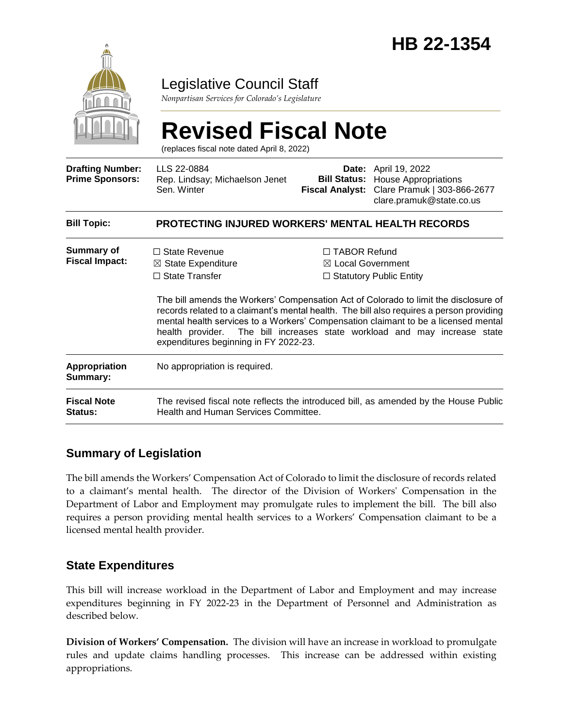

Legislative Council Staff

*Nonpartisan Services for Colorado's Legislature*

#### **Revised Fiscal Note** (replaces fiscal note dated April 8, 2022) **Drafting Number: Prime Sponsors:** LLS 22-0884 Rep. Lindsay; Michaelson Jenet Sen. Winter **Date:** April 19, 2022 **Bill Status:** House Appropriations **Fiscal Analyst:** Clare Pramuk | 303-866-2677 clare.pramuk@state.co.us **Bill Topic: PROTECTING INJURED WORKERS' MENTAL HEALTH RECORDS Summary of Fiscal Impact:** □ State Revenue ☒ State Expenditure □ State Transfer ☐ TABOR Refund ☒ Local Government ☐ Statutory Public Entity The bill amends the Workers' Compensation Act of Colorado to limit the disclosure of records related to a claimant's mental health. The bill also requires a person providing mental health services to a Workers' Compensation claimant to be a licensed mental health provider. The bill increases state workload and may increase state expenditures beginning in FY 2022-23. **Appropriation Summary:** No appropriation is required. **Fiscal Note Status:** The revised fiscal note reflects the introduced bill, as amended by the House Public Health and Human Services Committee.

# **Summary of Legislation**

The bill amends the Workers' Compensation Act of Colorado to limit the disclosure of records related to a claimant's mental health. The director of the Division of Workers' Compensation in the Department of Labor and Employment may promulgate rules to implement the bill. The bill also requires a person providing mental health services to a Workers' Compensation claimant to be a licensed mental health provider.

# **State Expenditures**

This bill will increase workload in the Department of Labor and Employment and may increase expenditures beginning in FY 2022-23 in the Department of Personnel and Administration as described below.

**Division of Workers' Compensation.** The division will have an increase in workload to promulgate rules and update claims handling processes. This increase can be addressed within existing appropriations.